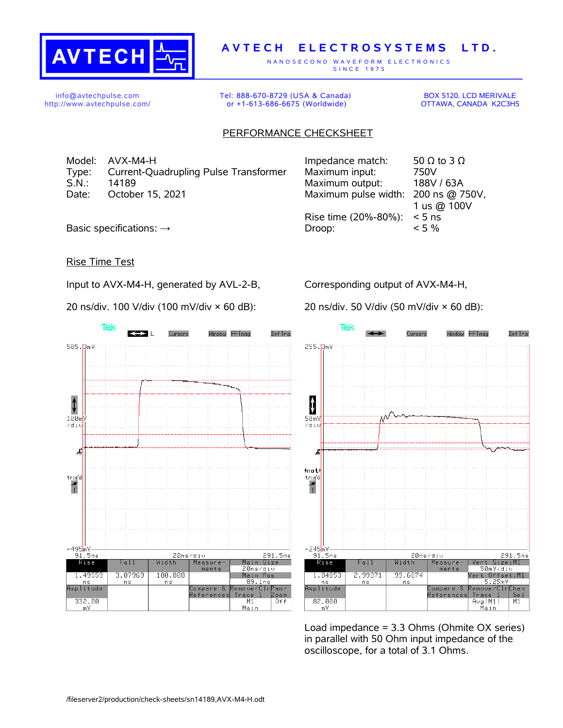

## **A V T E C H E L E C T R O S Y S T E M S L T D .**

N A N O S E C O N D W A V E F O R M E L E C T R O N I C S S IN C E 1975

info@avtechpulse.com http://www.avtechpulse.com/ Tel: 888-670-8729 (USA & Canada) or +1-613-686-6675 (Worldwide)

BOX 5120, LCD MERIVALE OTTAWA, CANADA K2C3H5

## PERFORMANCE CHECKSHEET

Model: AVX-M4-H Type: Current-Quadrupling Pulse Transformer S.N.: 14189 Maximum output: 188V / 63A Date: October 15, 2021

| Impedance match:                    | 50 $\Omega$ to 3 $\Omega$ |
|-------------------------------------|---------------------------|
| Maximum input:                      | 750V                      |
| Maximum output:                     | 188V / 63A                |
| Maximum pulse width: 200 ns @ 750V, |                           |
|                                     | 1 us @ 100V               |
| Rise time (20%-80%):                | $< 5$ ns                  |
| Droop:                              | $< 5\%$                   |
|                                     |                           |

Basic specifications:  $\rightarrow$ 

## Rise Time Test

Input to AVX-M4-H, generated by AVL-2-B,

20 ns/div. 100 V/div (100 mV/div × 60 dB):

Corresponding output of AVX-M4-H,

20 ns/div. 50 V/div (50 mV/div × 60 dB):





Load impedance = 3.3 Ohms (Ohmite OX series) in parallel with 50 Ohm input impedance of the oscilloscope, for a total of 3.1 Ohms.

/fileserver2/production/check-sheets/sn14189,AVX-M4-H.odt